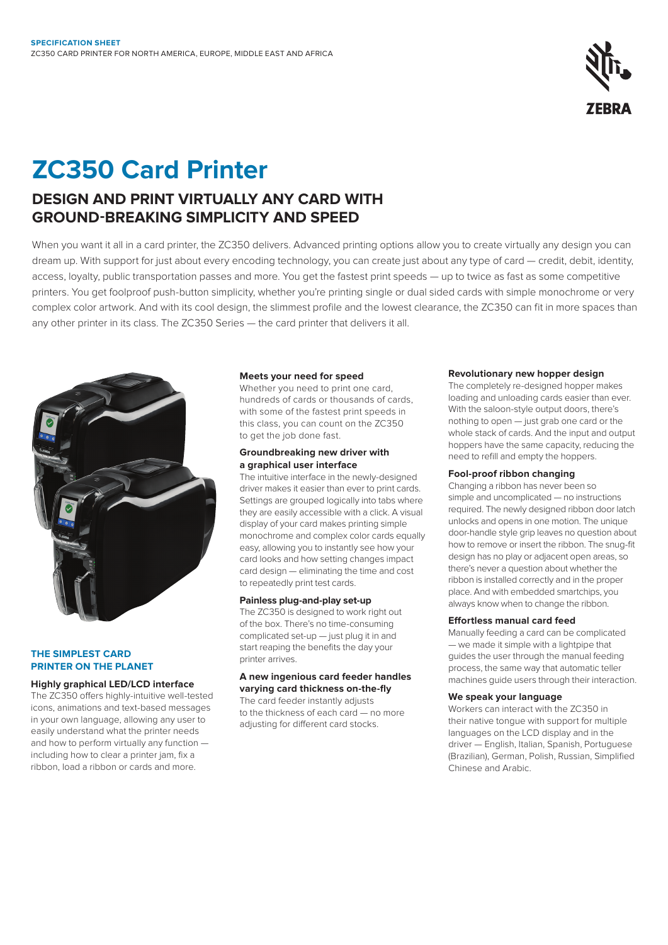

# **ZC350 Card Printer**

### **DESIGN AND PRINT VIRTUALLY ANY CARD WITH GROUND-BREAKING SIMPLICITY AND SPEED**

When you want it all in a card printer, the ZC350 delivers. Advanced printing options allow you to create virtually any design you can dream up. With support for just about every encoding technology, you can create just about any type of card — credit, debit, identity, access, loyalty, public transportation passes and more. You get the fastest print speeds — up to twice as fast as some competitive printers. You get foolproof push-button simplicity, whether you're printing single or dual sided cards with simple monochrome or very complex color artwork. And with its cool design, the slimmest profile and the lowest clearance, the ZC350 can fit in more spaces than any other printer in its class. The ZC350 Series — the card printer that delivers it all.



### **THE SIMPLEST CARD PRINTER ON THE PLANET**

### **Highly graphical LED/LCD interface**

The ZC350 offers highly-intuitive well-tested icons, animations and text-based messages in your own language, allowing any user to easily understand what the printer needs and how to perform virtually any function including how to clear a printer jam, fix a ribbon, load a ribbon or cards and more.

### **Meets your need for speed**

Whether you need to print one card, hundreds of cards or thousands of cards, with some of the fastest print speeds in this class, you can count on the ZC350 to get the job done fast.

### **Groundbreaking new driver with a graphical user interface**

The intuitive interface in the newly-designed driver makes it easier than ever to print cards. Settings are grouped logically into tabs where they are easily accessible with a click. A visual display of your card makes printing simple monochrome and complex color cards equally easy, allowing you to instantly see how your card looks and how setting changes impact card design — eliminating the time and cost to repeatedly print test cards.

### **Painless plug-and-play set-up**

The ZC350 is designed to work right out of the box. There's no time-consuming complicated set-up — just plug it in and start reaping the benefits the day your printer arrives.

### **A new ingenious card feeder handles varying card thickness on-the-fly**

The card feeder instantly adjusts to the thickness of each card — no more adjusting for different card stocks.

### **Revolutionary new hopper design**

The completely re-designed hopper makes loading and unloading cards easier than ever. With the saloon-style output doors, there's nothing to open — just grab one card or the whole stack of cards. And the input and output hoppers have the same capacity, reducing the need to refill and empty the hoppers.

### **Fool-proof ribbon changing**

Changing a ribbon has never been so simple and uncomplicated — no instructions required. The newly designed ribbon door latch unlocks and opens in one motion. The unique door-handle style grip leaves no question about how to remove or insert the ribbon. The snug-fit design has no play or adjacent open areas, so there's never a question about whether the ribbon is installed correctly and in the proper place. And with embedded smartchips, you always know when to change the ribbon.

### **Effortless manual card feed**

Manually feeding a card can be complicated — we made it simple with a lightpipe that guides the user through the manual feeding process, the same way that automatic teller machines guide users through their interaction.

### **We speak your language**

Workers can interact with the ZC350 in their native tongue with support for multiple languages on the LCD display and in the driver — English, Italian, Spanish, Portuguese (Brazilian), German, Polish, Russian, Simplified Chinese and Arabic.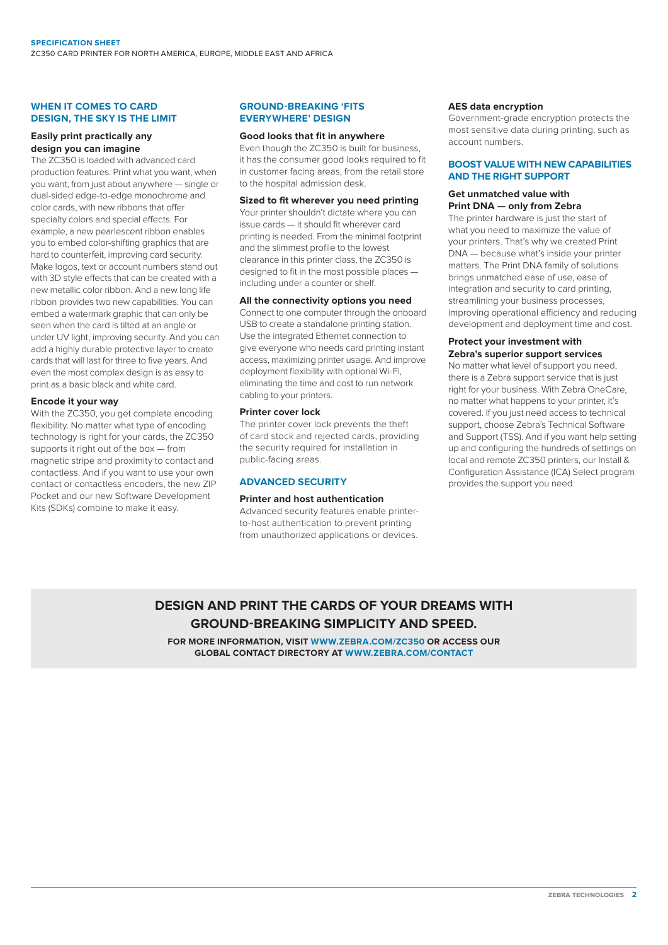### **WHEN IT COMES TO CARD DESIGN, THE SKY IS THE LIMIT**

### **Easily print practically any design you can imagine**

The ZC350 is loaded with advanced card production features. Print what you want, when you want, from just about anywhere — single or dual-sided edge-to-edge monochrome and color cards, with new ribbons that offer specialty colors and special effects. For example, a new pearlescent ribbon enables you to embed color-shifting graphics that are hard to counterfeit, improving card security. Make logos, text or account numbers stand out with 3D style effects that can be created with a new metallic color ribbon. And a new long life ribbon provides two new capabilities. You can embed a watermark graphic that can only be seen when the card is tilted at an angle or under UV light, improving security. And you can add a highly durable protective layer to create cards that will last for three to five years. And even the most complex design is as easy to print as a basic black and white card.

### **Encode it your way**

With the  $7C350$ , you get complete encoding flexibility. No matter what type of encoding technology is right for your cards, the ZC350 supports it right out of the box — from magnetic stripe and proximity to contact and contactless. And if you want to use your own contact or contactless encoders, the new ZIP Pocket and our new Software Development Kits (SDKs) combine to make it easy.

### **GROUND-BREAKING 'FITS EVERYWHERE' DESIGN**

### **Good looks that fit in anywhere**

Even though the ZC350 is built for business, it has the consumer good looks required to fit in customer facing areas, from the retail store to the hospital admission desk.

### **Sized to fit wherever you need printing**

Your printer shouldn't dictate where you can issue cards — it should fit wherever card printing is needed. From the minimal footprint and the slimmest profile to the lowest clearance in this printer class, the ZC350 is designed to fit in the most possible places including under a counter or shelf.

### **All the connectivity options you need**

Connect to one computer through the onboard USB to create a standalone printing station. Use the integrated Ethernet connection to give everyone who needs card printing instant access, maximizing printer usage. And improve deployment flexibility with optional Wi-Fi, eliminating the time and cost to run network cabling to your printers.

### **Printer cover lock**

The printer cover lock prevents the theft of card stock and rejected cards, providing the security required for installation in public-facing areas.

### **ADVANCED SECURITY**

### **Printer and host authentication**

Advanced security features enable printerto-host authentication to prevent printing from unauthorized applications or devices.

### **AES data encryption**

Government-grade encryption protects the most sensitive data during printing, such as account numbers.

### **BOOST VALUE WITH NEW CAPABILITIES AND THE RIGHT SUPPORT**

### **Get unmatched value with Print DNA — only from Zebra**

The printer hardware is just the start of what you need to maximize the value of your printers. That's why we created Print DNA — because what's inside your printer matters. The Print DNA family of solutions brings unmatched ease of use, ease of integration and security to card printing, streamlining your business processes, improving operational efficiency and reducing development and deployment time and cost.

### **Protect your investment with Zebra's superior support services**

No matter what level of support you need, there is a Zebra support service that is just right for your business. With Zebra OneCare, no matter what happens to your printer, it's covered. If you just need access to technical support, choose Zebra's Technical Software and Support (TSS). And if you want help setting up and configuring the hundreds of settings on local and remote ZC350 printers, our Install & Configuration Assistance (ICA) Select program provides the support you need.

### **DESIGN AND PRINT THE CARDS OF YOUR DREAMS WITH GROUND-BREAKING SIMPLICITY AND SPEED.**

**FOR MORE INFORMATION, VISIT [WWW.ZEBRA.COM/](http://www.zebra.com/zc300)ZC350 OR ACCESS OUR GLOBAL CONTACT DIRECTORY AT [WWW.ZEBRA.COM/CONTACT](mailto:?subject=)**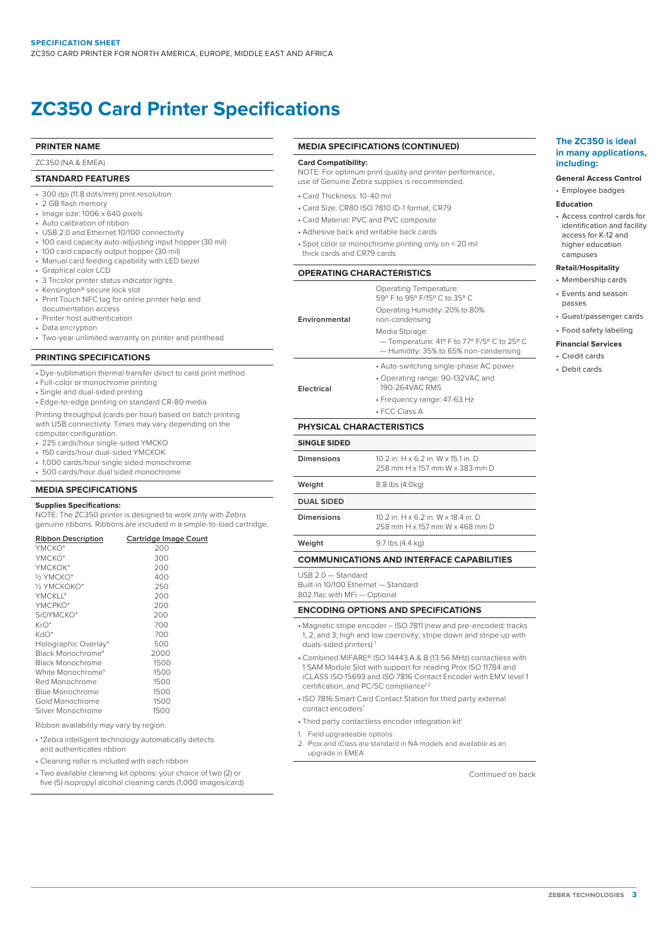## **ZC350 Card Printer Specifications**

### **PRINTER NAME**

ZC350 (NA & EMEA)

### **STANDARD FEATURES**

- 300 dpi (11.8 dots/mm) print resolution
- 2 GB flash memory
- Image size: 1006 x 640 pixels
- Auto calibration of ribbon
- USB 2.0 and Ethernet 10/100 connectivity
- 100 card capacity auto-adjusting input hopper (30 mil)
- 100 card capacity output hopper (30 mil)
- Manual card feeding capability with LED bezel
- Graphical color LCD
- 3 Tricolor printer status indicator lights
- Kensington® secure lock slot
- Print Touch NFC tag for online printer help and documentation access
- Printer host authentication
- Data encryption
- Two-year unlimited warranty on printer and printhead

### **PRINTING SPECIFICATIONS**

- Dye-sublimation thermal transfer direct to card print method
- Full-color or monochrome printing
- Single and dual-sided printing
- Edge-to-edge printing on standard CR-80 media

Printing throughput (cards per hour) based on batch printing with USB connectivity. Times may vary depending on the computer configuration.

- 225 cards/hour single-sided YMCKO
- 150 cards/hour dual-sided YMCKOK
- 1,000 cards/hour single sided monochrome
- 500 cards/hour dual sided monochrome

### **MEDIA SPECIFICATIONS**

### **Supplies Specifications:**

NOTE: The ZC350 printer is designed to work only with Zebra genuine ribbons. Ribbons are included in a simple-to-load cartridge.

| <b>Ribbon Description</b> | Cartridge Image Count |
|---------------------------|-----------------------|
| YMCKO*                    | 200                   |
| YMCKO*                    | 300                   |
| YMCKOK*                   | 200                   |
| 1/3 YMCKO*                | 400                   |
| 16 УМСКОКО*               | 250                   |
| YMCKII*                   | 200                   |
| YMCPKO*                   | 200                   |
| SrDYMCKO*                 | 200                   |
| $KrO^*$                   | 700                   |
| KdO*                      | 700                   |
| Holographic Overlay*      | 500                   |
| Black Monochrome*         | 2000                  |
| <b>Black Monochrome</b>   | 1500                  |
| White Monochrome*         | 1500                  |
| Red Monochrome            | 1500                  |
| Blue Monochrome           | 1500                  |
| Gold Monochrome           | 1500                  |
| Silver Monochrome         | 1500                  |

Ribbon availability may vary by region.

- \*Zebra intelligent technology automatically detects
- and authenticates ribbon
- Cleaning roller is included with each ribbon
- Two available cleaning kit options: your choice of two (2) or five (5) isopropyl alcohol cleaning cards (1,000 images/card)

### **MEDIA SPECIFICATIONS (CONTINUED)**

#### **Card Compatibility:**

NOTE: For optimum print quality and printer performance, use of Genuine Zebra supplies is recommended.

- Card Thickness: 10-40 mil
- Card Size: CR80 ISO 7810 ID-1 format, CR79
- Card Material: PVC and PVC composite
- Adhesive back and writable back cards
- Spot color or monochrome printing only on < 20 mil thick cards and CR79 cards

### **OPERATING CHARACTERISTICS**

|               | Operating Temperature:<br>59° F to 95° F/15° C to 35° C                                                |
|---------------|--------------------------------------------------------------------------------------------------------|
| Environmental | Operating Humidity: 20% to 80%<br>non-condensing                                                       |
|               | Media Storage:<br>- Temperature: 41º F to 77º F/5º C to 25° C<br>- Humidity: 35% to 65% non-condensing |
|               | • Auto-switching single-phase AC power                                                                 |
| Electrical    | • Operating range: 90-132VAC and<br>190-264VAC RMS                                                     |
|               | • Frequency range: 47-63 Hz                                                                            |

• FCC Class A

### **PHYSICAL CHARACTERISTICS**

| <b>SINGLE SIDED</b> |                                                                       |
|---------------------|-----------------------------------------------------------------------|
| Dimensions          | 10.2 in. H x 6.2 in. W x 15.1 in. D<br>258 mm H x 157 mm W x 383 mm D |
| Weight              | 8.8 lbs (4.0kg)                                                       |
| <b>DUAL SIDED</b>   |                                                                       |
| Dimensions          | 10.2 in. H x 6.2 in. W x 18.4 in. D<br>258 mm H x 157 mm W x 468 mm D |
| Weight              | 9.7 lbs (4.4 kg)                                                      |

### **COMMUNICATIONS AND INTERFACE CAPABILITIES**

USB 2.0 — Standard Built-in 10/100 Ethernet — Standard

802.11ac with MFi — Optional

### **ENCODING OPTIONS AND SPECIFICATIONS**

- Magnetic stripe encoder ISO 7811 (new and pre-encoded; tracks 1, 2, and 3; high and low coercivity; stripe down and stripe up with duals-sided printers)<sup>1</sup>
- Combined MIFARE® ISO 14443 A & B (13.56 MHz) contactless with 1 SAM Module Slot with support for reading Prox ISO 11784 and iCLASS ISO 15693 and ISO 7816 Contact Encoder with EMV level 1 certification, and PC/SC compliance<sup>1,2</sup>
- ISO 7816 Smart Card Contact Station for third party external contact encoders1
- Third party contactless encoder integration kit<sup>1</sup>
- 1. Field upgradeable options
- 2. Prox and iClass are standard in NA models and available as an upgrade in EMEA

Continued on back

### **The ZC350 is ideal in many applications, including:**

### **General Access Control**

### • Employee badges

### **Education**

• Access control cards for identification and facility access for K-12 and higher education campuses

### **Retail/Hospitality**

- Membership cards • Events and season
- passes
- Guest/passenger cards
- Food safety labeling

### **Financial Services**

- Credit cards
- Debit cards